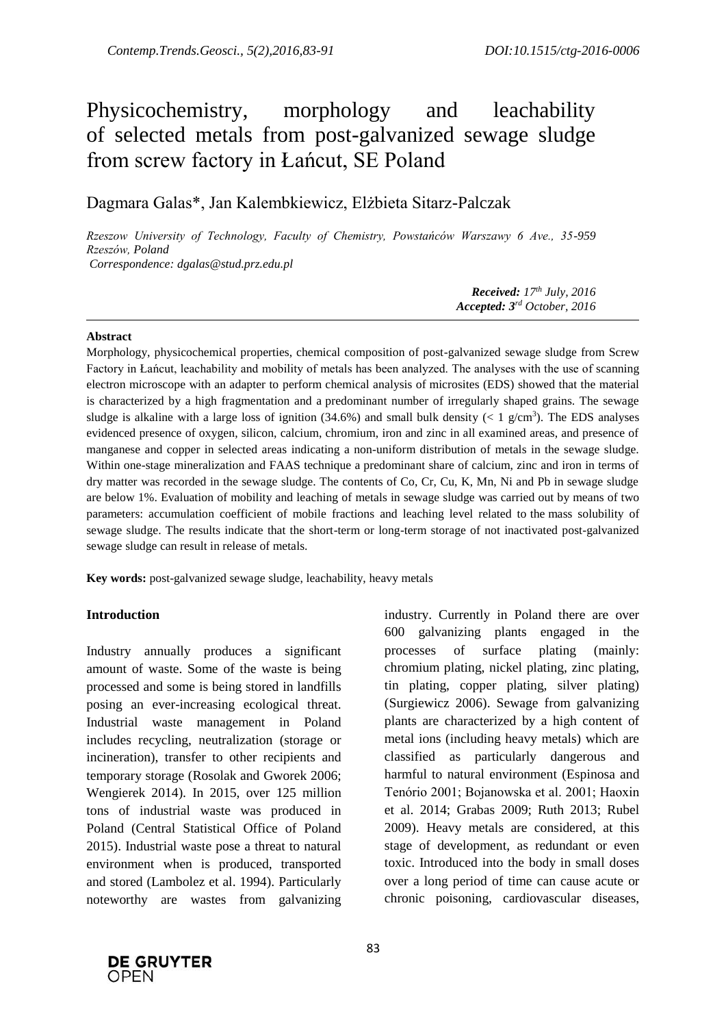# Physicochemistry, morphology and leachability of selected metals from post-galvanized sewage sludge from screw factory in Łańcut, SE Poland

Dagmara Galas\*, Jan Kalembkiewicz, Elżbieta Sitarz-Palczak

*Rzeszow University of Technology, Faculty of Chemistry, Powstańców Warszawy 6 Ave., 35-959 Rzeszów, Poland Correspondence: dgalas@stud.prz.edu.pl*

> *Received: 17 th July, 2016 Accepted: 3 rd October, 2016*

#### **Abstract**

Morphology, physicochemical properties, chemical composition of post-galvanized sewage sludge from Screw Factory in Łańcut, leachability and mobility of metals has been analyzed. The analyses with the use of scanning electron microscope with an adapter to perform chemical analysis of microsites (EDS) showed that the material is characterized by a high fragmentation and a predominant number of irregularly shaped grains. The sewage sludge is alkaline with a large loss of ignition  $(34.6%)$  and small bulk density  $(< 1 \text{ g/cm}^3)$ . The EDS analyses evidenced presence of oxygen, silicon, calcium, chromium, iron and zinc in all examined areas, and presence of manganese and copper in selected areas indicating a non-uniform distribution of metals in the sewage sludge. Within one-stage mineralization and FAAS technique a predominant share of calcium, zinc and iron in terms of dry matter was recorded in the sewage sludge. The contents of Co, Cr, Cu, K, Mn, Ni and Pb in sewage sludge are below 1%. Evaluation of mobility and leaching of metals in sewage sludge was carried out by means of two parameters: accumulation coefficient of mobile fractions and leaching level related to the mass solubility of sewage sludge. The results indicate that the short-term or long-term storage of not inactivated post-galvanized sewage sludge can result in release of metals.

**Key words:** post-galvanized sewage sludge, leachability, heavy metals

### **Introduction**

Industry annually produces a significant amount of waste. Some of the waste is being processed and some is being stored in landfills posing an ever-increasing ecological threat. Industrial waste management in Poland includes recycling, neutralization (storage or incineration), transfer to other recipients and temporary storage (Rosolak and Gworek 2006; Wengierek 2014). In 2015, over 125 million tons of industrial waste was produced in Poland (Central Statistical Office of Poland 2015). Industrial waste pose a threat to natural environment when is produced, transported and stored (Lambolez et al. 1994). Particularly noteworthy are wastes from galvanizing

industry. Currently in Poland there are over 600 galvanizing plants engaged in the processes of surface plating (mainly: chromium plating, nickel plating, zinc plating, tin plating, copper plating, silver plating) (Surgiewicz 2006). Sewage from galvanizing plants are characterized by a high content of metal ions (including heavy metals) which are classified as particularly dangerous and harmful to natural environment (Espinosa and Tenório 2001; Bojanowska et al. 2001; Haoxin et al. 2014; Grabas 2009; Ruth 2013; Rubel 2009). Heavy metals are considered, at this stage of development, as redundant or even toxic. Introduced into the body in small doses over a long period of time can cause acute or chronic poisoning, cardiovascular diseases,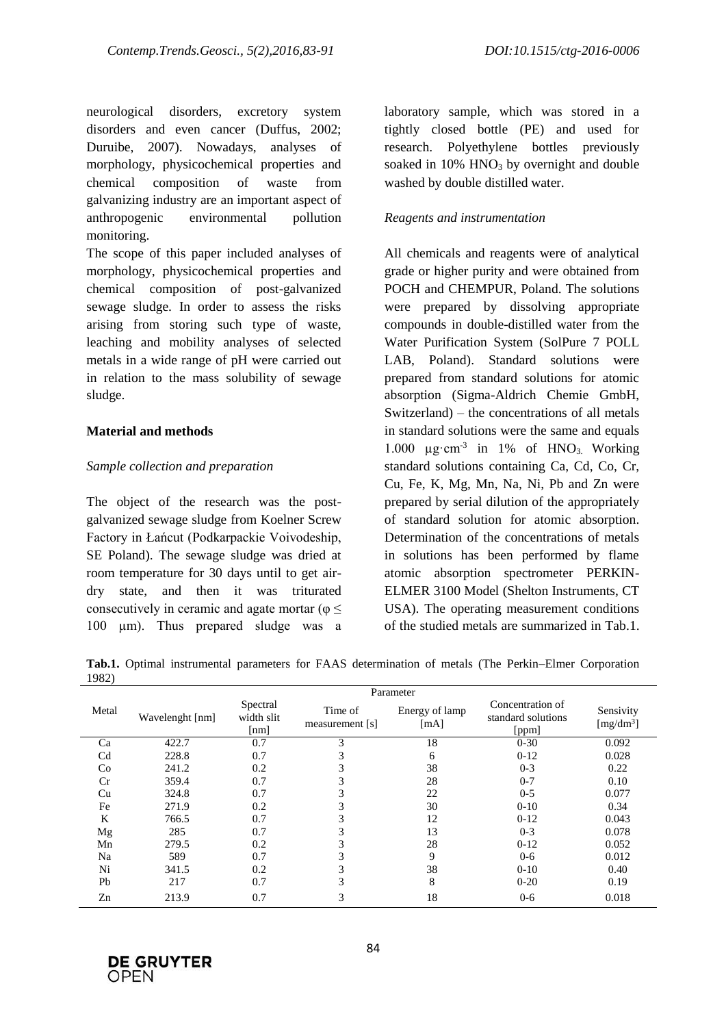neurological disorders, excretory system disorders and even cancer (Duffus, 2002; Duruibe, 2007). Nowadays, analyses of morphology, physicochemical properties and chemical composition of waste from galvanizing industry are an important aspect of anthropogenic environmental pollution monitoring.

The scope of this paper included analyses of morphology, physicochemical properties and chemical composition of post-galvanized sewage sludge. In order to assess the risks arising from storing such type of waste, leaching and mobility analyses of selected metals in a wide range of pH were carried out in relation to the mass solubility of sewage sludge.

## **Material and methods**

## *Sample collection and preparation*

The object of the research was the postgalvanized sewage sludge from Koelner Screw Factory in Łańcut (Podkarpackie Voivodeship, SE Poland). The sewage sludge was dried at room temperature for 30 days until to get airdry state, and then it was triturated consecutively in ceramic and agate mortar ( $\varphi$  < 100 µm). Thus prepared sludge was a laboratory sample, which was stored in a tightly closed bottle (PE) and used for research. Polyethylene bottles previously soaked in  $10\%$  HNO<sub>3</sub> by overnight and double washed by double distilled water.

## *Reagents and instrumentation*

All chemicals and reagents were of analytical grade or higher purity and were obtained from POCH and CHEMPUR, Poland. The solutions were prepared by dissolving appropriate compounds in double-distilled water from the Water Purification System (SolPure 7 POLL LAB, Poland). Standard solutions were prepared from standard solutions for atomic absorption (Sigma-Aldrich Chemie GmbH, Switzerland) – the concentrations of all metals in standard solutions were the same and equals 1.000 µg·cm<sup>-3</sup> in 1% of HNO<sub>3</sub>. Working standard solutions containing Ca, Cd, Co, Cr, Cu, Fe, K, Mg, Mn, Na, Ni, Pb and Zn were prepared by serial dilution of the appropriately of standard solution for atomic absorption. Determination of the concentrations of metals in solutions has been performed by flame atomic absorption spectrometer PERKIN-ELMER 3100 Model (Shelton Instruments, CT USA). The operating measurement conditions of the studied metals are summarized in Tab.1.

**Tab.1.** Optimal instrumental parameters for FAAS determination of metals (The Perkin–Elmer Corporation 1982)

|                |                 | Parameter                      |                              |                        |                                                 |                           |  |  |  |  |
|----------------|-----------------|--------------------------------|------------------------------|------------------------|-------------------------------------------------|---------------------------|--|--|--|--|
| Metal          | Wavelenght [nm] | Spectral<br>width slit<br>[nm] | Time of<br>measurement $[s]$ | Energy of lamp<br>[mA] | Concentration of<br>standard solutions<br>[ppm] | Sensivity<br>[ $mg/dm3$ ] |  |  |  |  |
| Ca             | 422.7           | 0.7                            | 3                            | 18                     | $0 - 30$                                        | 0.092                     |  |  |  |  |
| C <sub>d</sub> | 228.8           | 0.7                            | 3                            | 6                      | $0-12$                                          | 0.028                     |  |  |  |  |
| Co             | 241.2           | 0.2                            | 3                            | 38                     | $0 - 3$                                         | 0.22                      |  |  |  |  |
| Cr             | 359.4           | 0.7                            | 3                            | 28                     | $0 - 7$                                         | 0.10                      |  |  |  |  |
| Cu             | 324.8           | 0.7                            | 3                            | 22                     | $0 - 5$                                         | 0.077                     |  |  |  |  |
| Fe             | 271.9           | 0.2                            | 3                            | 30                     | $0 - 10$                                        | 0.34                      |  |  |  |  |
| K              | 766.5           | 0.7                            | 3                            | 12                     | $0-12$                                          | 0.043                     |  |  |  |  |
| Mg             | 285             | 0.7                            | 3                            | 13                     | $0 - 3$                                         | 0.078                     |  |  |  |  |
| Mn             | 279.5           | 0.2                            | 3                            | 28                     | $0-12$                                          | 0.052                     |  |  |  |  |
| Na             | 589             | 0.7                            | 3                            | 9                      | $0 - 6$                                         | 0.012                     |  |  |  |  |
| Ni             | 341.5           | 0.2                            | 3                            | 38                     | $0 - 10$                                        | 0.40                      |  |  |  |  |
| Pb             | 217             | 0.7                            | 3                            | 8                      | $0 - 20$                                        | 0.19                      |  |  |  |  |
| Zn             | 213.9           | 0.7                            | 3                            | 18                     | $0 - 6$                                         | 0.018                     |  |  |  |  |

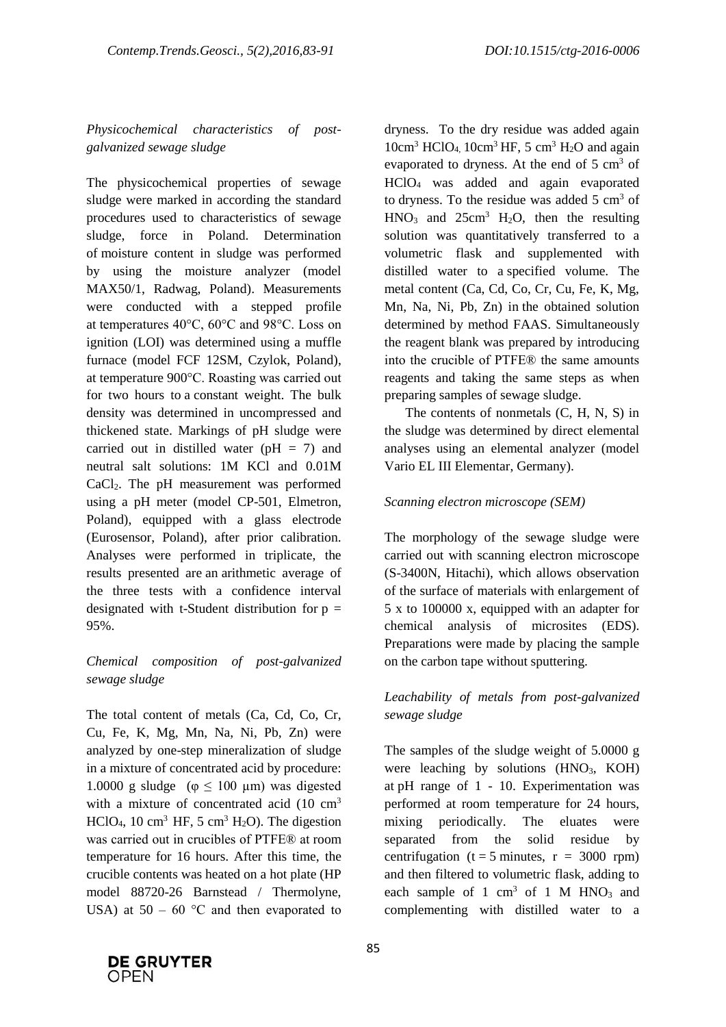# *Physicochemical characteristics of postgalvanized sewage sludge*

The physicochemical properties of sewage sludge were marked in according the standard procedures used to characteristics of sewage sludge, force in Poland. Determination of moisture content in sludge was performed by using the moisture analyzer (model MAX50/1, Radwag, Poland). Measurements were conducted with a stepped profile at temperatures 40°C, 60°C and 98°C. Loss on ignition (LOI) was determined using a muffle furnace (model FCF 12SM, Czylok, Poland), at temperature 900°C. Roasting was carried out for two hours to a constant weight. The bulk density was determined in uncompressed and thickened state. Markings of pH sludge were carried out in distilled water ( $pH = 7$ ) and neutral salt solutions: 1M KCl and 0.01M CaCl2. The pH measurement was performed using a pH meter (model CP-501, Elmetron, Poland), equipped with a glass electrode (Eurosensor, Poland), after prior calibration. Analyses were performed in triplicate, the results presented are an arithmetic average of the three tests with a confidence interval designated with t-Student distribution for  $p =$ 95%.

## *Chemical composition of post-galvanized sewage sludge*

The total content of metals (Ca, Cd, Co, Cr, Cu, Fe, K, Mg, Mn, Na, Ni, Pb, Zn) were analyzed by one-step mineralization of sludge in a mixture of concentrated acid by procedure: 1.0000 g sludge ( $\varphi \le 100$  μm) was digested with a mixture of concentrated acid  $(10 \text{ cm}^3)$ HClO<sub>4</sub>, 10 cm<sup>3</sup> HF, 5 cm<sup>3</sup> H<sub>2</sub>O). The digestion was carried out in crucibles of PTFE® at room temperature for 16 hours. After this time, the crucible contents was heated on a hot plate (HP model 88720-26 Barnstead / Thermolyne, USA) at  $50 - 60$  °C and then evaporated to dryness. To the dry residue was added again  $10 \text{cm}^3$  HClO<sub>4</sub>,  $10 \text{cm}^3$  HF, 5 cm<sup>3</sup> H<sub>2</sub>O and again evaporated to dryness. At the end of  $5 \text{ cm}^3$  of HClO<sup>4</sup> was added and again evaporated to dryness. To the residue was added  $5 \text{ cm}^3$  of  $HNO<sub>3</sub>$  and  $25cm<sup>3</sup>$  H<sub>2</sub>O, then the resulting solution was quantitatively transferred to a volumetric flask and supplemented with distilled water to a specified volume. The metal content (Ca, Cd, Co, Cr, Cu, Fe, K, Mg, Mn, Na, Ni, Pb, Zn) in the obtained solution determined by method FAAS. Simultaneously the reagent blank was prepared by introducing into the crucible of PTFE® the same amounts reagents and taking the same steps as when preparing samples of sewage sludge.

The contents of nonmetals (C, H, N, S) in the sludge was determined by direct elemental analyses using an elemental analyzer (model Vario EL III Elementar, Germany).

## *Scanning electron microscope (SEM)*

The morphology of the sewage sludge were carried out with scanning electron microscope (S-3400N, Hitachi), which allows observation of the surface of materials with enlargement of 5 x to 100000 x, equipped with an adapter for chemical analysis of microsites (EDS). Preparations were made by placing the sample on the carbon tape without sputtering.

## *Leachability of metals from post-galvanized sewage sludge*

The samples of the sludge weight of 5.0000 g were leaching by solutions  $(HNO<sub>3</sub>, KOH)$ at pH range of 1 - 10. Experimentation was performed at room temperature for 24 hours, mixing periodically. The eluates were separated from the solid residue by centrifugation ( $t = 5$  minutes,  $r = 3000$  rpm) and then filtered to volumetric flask, adding to each sample of 1 cm<sup>3</sup> of 1 M HNO<sub>3</sub> and complementing with distilled water to a

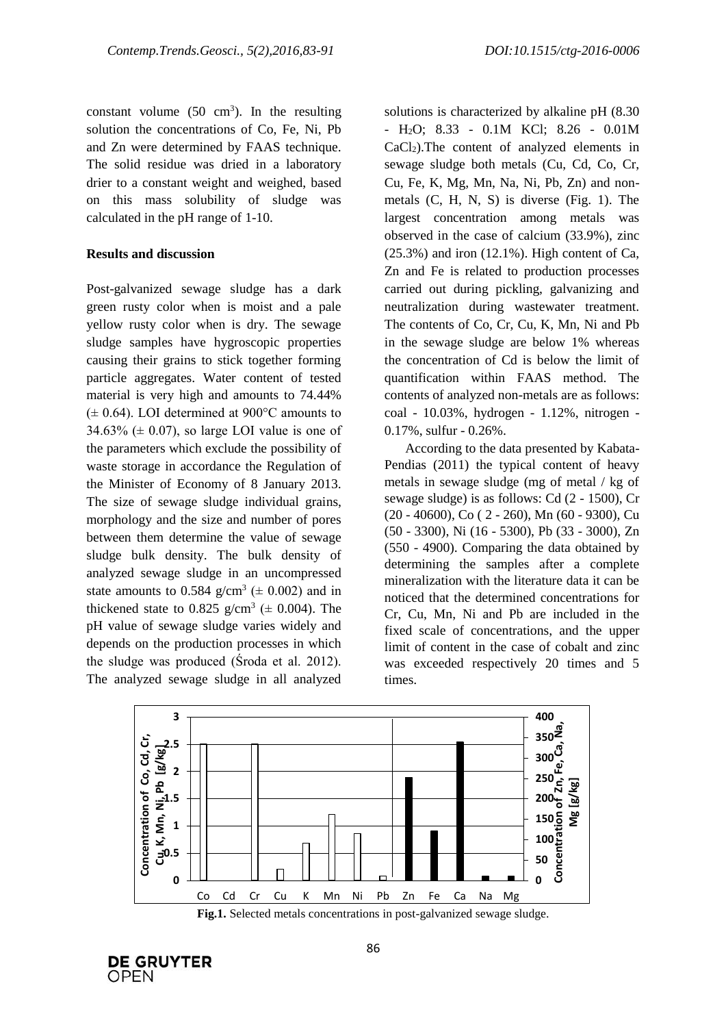constant volume  $(50 \text{ cm}^3)$ . In the resulting solution the concentrations of Co, Fe, Ni, Pb and Zn were determined by FAAS technique. The solid residue was dried in a laboratory drier to a constant weight and weighed, based on this mass solubility of sludge was calculated in the pH range of 1-10.

#### **Results and discussion**

Post-galvanized sewage sludge has a dark green rusty color when is moist and a pale yellow rusty color when is dry. The sewage sludge samples have hygroscopic properties causing their grains to stick together forming particle aggregates. Water content of tested material is very high and amounts to 74.44%  $(\pm 0.64)$ . LOI determined at 900 $\degree$ C amounts to  $34.63\%$  ( $\pm$  0.07), so large LOI value is one of the parameters which exclude the possibility of waste storage in accordance the Regulation of the Minister of Economy of 8 January 2013. The size of sewage sludge individual grains, morphology and the size and number of pores between them determine the value of sewage sludge bulk density. The bulk density of analyzed sewage sludge in an uncompressed state amounts to 0.584  $g/cm^3$  ( $\pm$  0.002) and in thickened state to 0.825  $g/cm^3$  ( $\pm$  0.004). The pH value of sewage sludge varies widely and depends on the production processes in which the sludge was produced (Środa et al. 2012). The analyzed sewage sludge in all analyzed

solutions is characterized by alkaline pH (8.30 - H2O; 8.33 - 0.1M KCl; 8.26 - 0.01M  $CaCl<sub>2</sub>$ ). The content of analyzed elements in sewage sludge both metals (Cu, Cd, Co, Cr, Cu, Fe, K, Mg, Mn, Na, Ni, Pb, Zn) and nonmetals (C, H, N, S) is diverse (Fig. 1). The largest concentration among metals was observed in the case of calcium (33.9%), zinc  $(25.3\%)$  and iron  $(12.1\%)$ . High content of Ca, Zn and Fe is related to production processes carried out during pickling, galvanizing and neutralization during wastewater treatment. The contents of Co, Cr, Cu, K, Mn, Ni and Pb in the sewage sludge are below 1% whereas the concentration of Cd is below the limit of quantification within FAAS method. The contents of analyzed non-metals are as follows: coal - 10.03%, hydrogen - 1.12%, nitrogen - 0.17%, sulfur - 0.26%.

According to the data presented by Kabata-Pendias (2011) the typical content of heavy metals in sewage sludge (mg of metal / kg of sewage sludge) is as follows: Cd (2 - 1500), Cr (20 - 40600), Co ( 2 - 260), Mn (60 - 9300), Cu (50 - 3300), Ni (16 - 5300), Pb (33 - 3000), Zn (550 - 4900). Comparing the data obtained by determining the samples after a complete mineralization with the literature data it can be noticed that the determined concentrations for Cr, Cu, Mn, Ni and Pb are included in the fixed scale of concentrations, and the upper limit of content in the case of cobalt and zinc was exceeded respectively 20 times and 5 times.



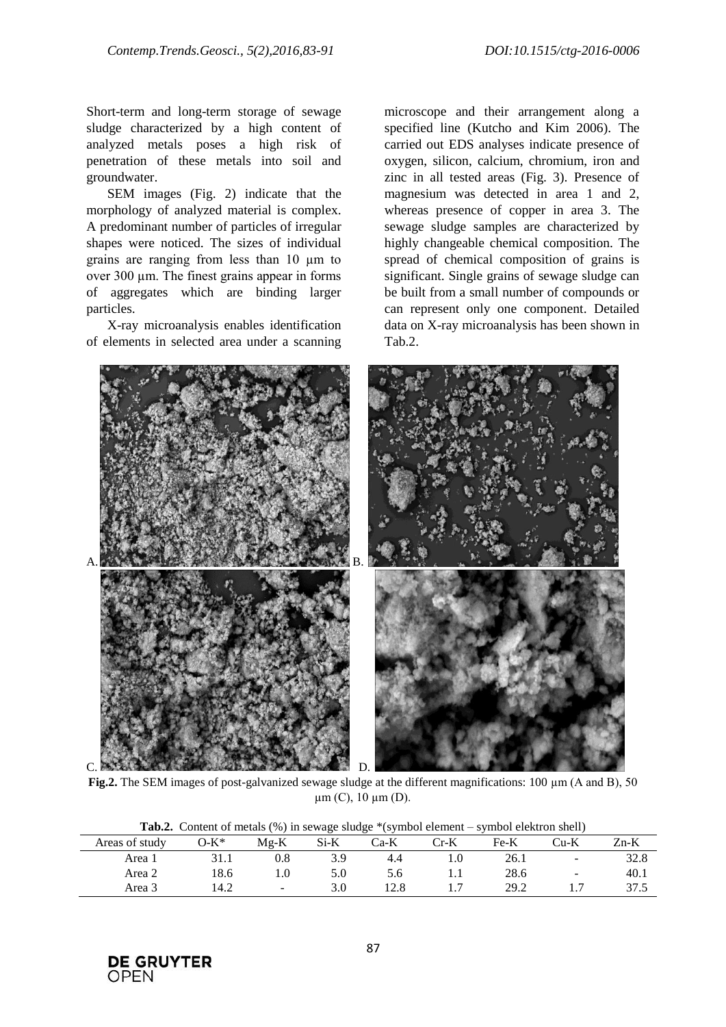Short-term and long-term storage of sewage sludge characterized by a high content of analyzed metals poses a high risk of penetration of these metals into soil and groundwater.

SEM images (Fig. 2) indicate that the morphology of analyzed material is complex. A predominant number of particles of irregular shapes were noticed. The sizes of individual grains are ranging from less than 10 µm to over 300 µm. The finest grains appear in forms of aggregates which are binding larger particles.

X-ray microanalysis enables identification of elements in selected area under a scanning

microscope and their arrangement along a specified line (Kutcho and Kim 2006). The carried out EDS analyses indicate presence of oxygen, silicon, calcium, chromium, iron and zinc in all tested areas (Fig. 3). Presence of magnesium was detected in area 1 and 2, whereas presence of copper in area 3. The sewage sludge samples are characterized by highly changeable chemical composition. The spread of chemical composition of grains is significant. Single grains of sewage sludge can be built from a small number of compounds or can represent only one component. Detailed data on X-ray microanalysis has been shown in Tab.2.



**Fig.2.** The SEM images of post-galvanized sewage sludge at the different magnifications: 100 µm (A and B), 50  $\mu$ m (C), 10  $\mu$ m (D).

|                |         |         |      |      | $10, 12200$ or $0.0000$ |      |        |      |
|----------------|---------|---------|------|------|-------------------------|------|--------|------|
| Areas of study | $O-K^*$ | $Mg-K$  | Si-K | Ca-K | Cr-K                    | Fe-K | ∑u-K   | Zn-K |
| Area 1         |         | $0.8\,$ | 3.9  |      |                         | 26.1 | -      | 0. ک |
| Area 2         | 18.6    |         | 5.0  |      |                         | 28.6 | $\sim$ | 40.1 |
| Area 3         | 14.2    | $\sim$  |      |      |                         | 29.2 |        | 37.5 |

**Tab.2.** Content of metals (%) in sewage sludge \*(symbol element – symbol elektron shell)

**DE GRUYTER** OPEN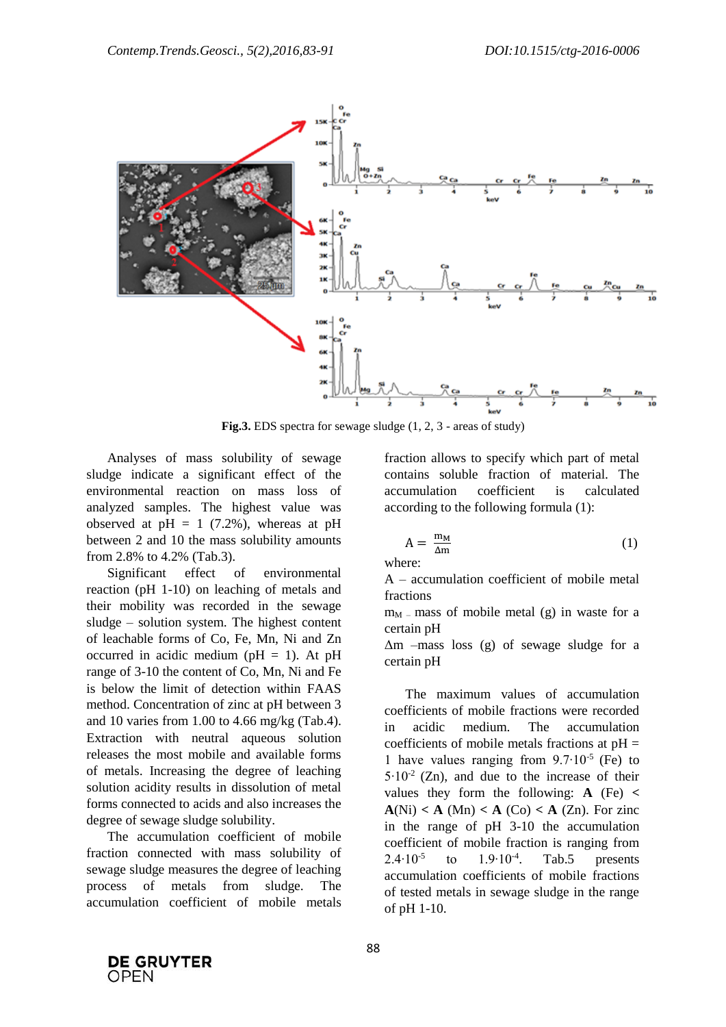

**Fig.3.** EDS spectra for sewage sludge (1, 2, 3 - areas of study)

Analyses of mass solubility of sewage sludge indicate a significant effect of the environmental reaction on mass loss of analyzed samples. The highest value was observed at  $pH = 1$  (7.2%), whereas at  $pH$ between 2 and 10 the mass solubility amounts from 2.8% to 4.2% (Tab.3).

Significant effect of environmental reaction (pH 1-10) on leaching of metals and their mobility was recorded in the sewage sludge – solution system. The highest content of leachable forms of Co, Fe, Mn, Ni and Zn occurred in acidic medium ( $pH = 1$ ). At  $pH$ range of 3-10 the content of Co, Mn, Ni and Fe is below the limit of detection within FAAS method. Concentration of zinc at pH between 3 and 10 varies from 1.00 to 4.66 mg/kg (Tab.4). Extraction with neutral aqueous solution releases the most mobile and available forms of metals. Increasing the degree of leaching solution acidity results in dissolution of metal forms connected to acids and also increases the degree of sewage sludge solubility.

The accumulation coefficient of mobile fraction connected with mass solubility of sewage sludge measures the degree of leaching process of metals from sludge. The accumulation coefficient of mobile metals

fraction allows to specify which part of metal contains soluble fraction of material. The accumulation coefficient is calculated according to the following formula (1):

$$
A = \frac{m_M}{\Delta m} \tag{1}
$$

where:

A – accumulation coefficient of mobile metal fractions

 $m<sub>M</sub>$  – mass of mobile metal (g) in waste for a certain pH

Δm –mass loss (g) of sewage sludge for a certain pH

The maximum values of accumulation coefficients of mobile fractions were recorded in acidic medium. The accumulation coefficients of mobile metals fractions at  $pH =$ 1 have values ranging from 9.7∙10-5 (Fe) to 5∙10-2 (Zn), and due to the increase of their values they form the following:  $\bf{A}$  (Fe) <  $A(Ni) < A (Mn) < A (Co) < A (Zn)$ . For zinc in the range of pH 3-10 the accumulation coefficient of mobile fraction is ranging from  $2.4•10^{-5}$ to  $1.9 \cdot 10^{-4}$ . Tab.5 presents accumulation coefficients of mobile fractions of tested metals in sewage sludge in the range of pH 1-10.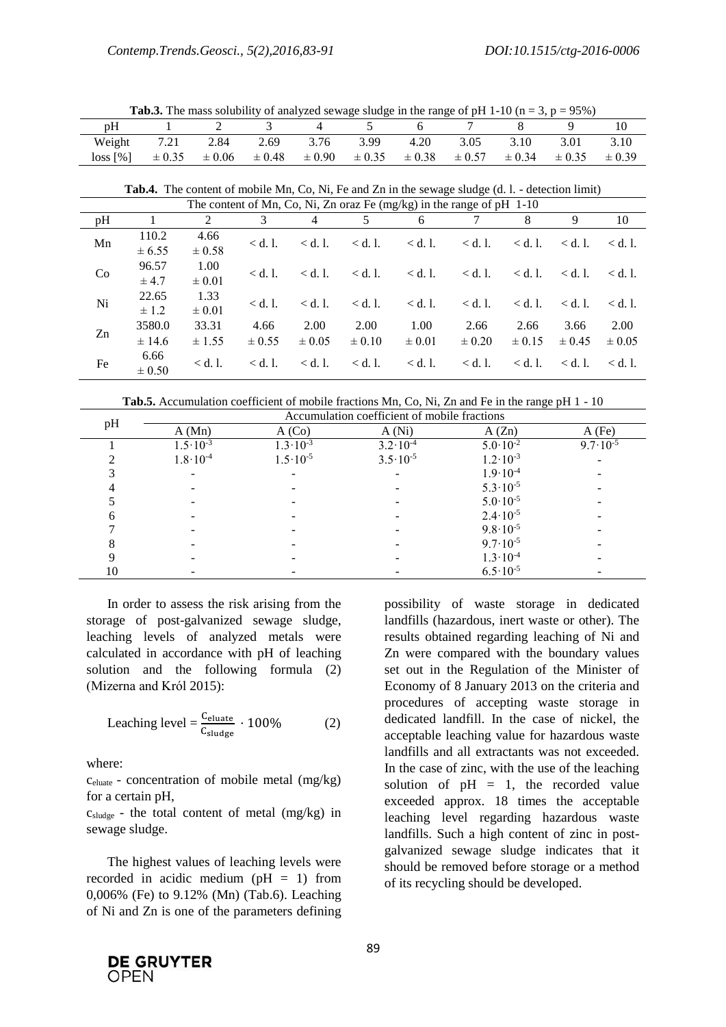| <b>1 ab.3.</b> The mass solubility of analyzed sewage shage in the range of pri 1-10 (ii $-$ 3, $p - 3370$ ) |      |                     |                       |      |      |                                             |      |      |                          |            |
|--------------------------------------------------------------------------------------------------------------|------|---------------------|-----------------------|------|------|---------------------------------------------|------|------|--------------------------|------------|
| pH                                                                                                           |      |                     |                       |      |      |                                             |      |      |                          |            |
| Weight                                                                                                       | 7.21 | 2.84                | 2.69                  | 3.76 | 3.99 | 4.20                                        | 3.05 | 3.10 | 3.01                     | 3.10       |
| $\log$ [%]                                                                                                   |      | $\pm 0.35 \pm 0.06$ | $\pm 0.48$ $\pm 0.90$ |      |      | $\pm 0.35$ $\pm 0.38$ $\pm 0.57$ $\pm 0.34$ |      |      | $\div$ $\pm 0.35$ $\div$ | $\pm 0.39$ |

 $T_{\text{mass}}$  solubility of analyzed sewage sludge in the range of pH 1-10 (p  $-3$ , p  $-95\%$ )

**Tab.4.** The content of mobile Mn, Co, Ni, Fe and Zn in the sewage sludge (d. l. - detection limit)

| The content of Mn, Co, Ni, Zn oraz Fe (mg/kg) in the range of $pH$ 1-10 |            |            |                 |                 |                 |                 |                 |                 |                 |                            |
|-------------------------------------------------------------------------|------------|------------|-----------------|-----------------|-----------------|-----------------|-----------------|-----------------|-----------------|----------------------------|
| pH                                                                      |            | 2          |                 | 4               |                 | 6               |                 | 8               | 9               | 10                         |
|                                                                         | 110.2      | 4.66       | $<$ d. 1.       | $\langle$ d. l. | $\langle d. 1.$ | $\langle d. 1.$ | $<$ d. 1.       | $\langle d. 1.$ | $\langle$ d. l. | $\langle d. \, l. \rangle$ |
| Mn                                                                      | ± 6.55     | $\pm 0.58$ |                 |                 |                 |                 |                 |                 |                 |                            |
| Co                                                                      | 96.57      | 1.00       | $\langle d. 1.$ | $\langle$ d. l. | $\langle d. 1.$ | $<$ d. l.       | $\langle d. 1.$ | $\langle d. 1.$ | $\langle$ d. l. | $\langle$ d. l.            |
|                                                                         | $\pm$ 4.7  | $\pm 0.01$ |                 |                 |                 |                 |                 |                 |                 |                            |
| Ni                                                                      | 22.65      | 1.33       | $\langle$ d. l. | $\langle$ d. l. | $\langle$ d. l. | $<$ d. l.       | $<$ d. 1.       | $<$ d. 1.       | $\langle$ d. l. | $\langle$ d. l.            |
|                                                                         | $\pm$ 1.2  | $\pm 0.01$ |                 |                 |                 |                 |                 |                 |                 |                            |
| Zn                                                                      | 3580.0     | 33.31      | 4.66            | 2.00            | 2.00            | 1.00            | 2.66            | 2.66            | 3.66            | 2.00                       |
|                                                                         | ± 14.6     | $\pm$ 1.55 | $\pm 0.55$      | $\pm 0.05$      | $\pm 0.10$      | $\pm 0.01$      | $\pm 0.20$      | $\pm 0.15$      | $\pm 0.45$      | $\pm 0.05$                 |
| Fe                                                                      | 6.66       |            |                 |                 | $<$ d. 1.       |                 | $<$ d. 1.       | $\langle d. 1.$ | $\langle$ d. l. | $\langle$ d. l.            |
|                                                                         | $\pm 0.50$ | $<$ d. 1.  | $\langle$ d. l. | $<$ d. 1.       |                 | $<$ d. 1.       |                 |                 |                 |                            |

**Tab.5.** Accumulation coefficient of mobile fractions Mn, Co, Ni, Zn and Fe in the range pH 1 - 10

| pH | Accumulation coefficient of mobile fractions |                     |                     |                     |                     |  |  |  |  |  |
|----|----------------------------------------------|---------------------|---------------------|---------------------|---------------------|--|--|--|--|--|
|    | A (Mn)                                       | A (Co)              | A(Ni)               | A(Zn)               | $A$ (Fe)            |  |  |  |  |  |
|    | $1.5 \cdot 10^{-3}$                          | $1.3 \cdot 10^{-3}$ | $3.2 \cdot 10^{-4}$ | $5.0 \cdot 10^{-2}$ | $9.7 \cdot 10^{-5}$ |  |  |  |  |  |
|    | $1.8 \cdot 10^{-4}$                          | $1.5 \cdot 10^{-5}$ | $3.5 \cdot 10^{-5}$ | $1.2 \cdot 10^{-3}$ |                     |  |  |  |  |  |
|    |                                              |                     |                     | $1.9 \cdot 10^{-4}$ |                     |  |  |  |  |  |
|    |                                              |                     |                     | $5.3 \cdot 10^{-5}$ |                     |  |  |  |  |  |
|    |                                              |                     |                     | $5.0 \cdot 10^{-5}$ |                     |  |  |  |  |  |
|    |                                              |                     |                     | $2.4 \cdot 10^{-5}$ |                     |  |  |  |  |  |
|    |                                              |                     |                     | $9.8 \cdot 10^{-5}$ |                     |  |  |  |  |  |
|    |                                              |                     |                     | $9.7 \cdot 10^{-5}$ |                     |  |  |  |  |  |
|    |                                              |                     |                     | $1.3 \cdot 10^{-4}$ |                     |  |  |  |  |  |
| 10 |                                              |                     |                     | $6.5 \cdot 10^{-5}$ |                     |  |  |  |  |  |

In order to assess the risk arising from the storage of post-galvanized sewage sludge, leaching levels of analyzed metals were calculated in accordance with pH of leaching solution and the following formula (2) (Mizerna and Król 2015):

$$
Leaching level = \frac{C_{eluate}}{C_{sludge}} \cdot 100\%
$$
 (2)

where:

celuate - concentration of mobile metal (mg/kg) for a certain pH,

 $c_{\text{sludge}}$  - the total content of metal (mg/kg) in sewage sludge.

The highest values of leaching levels were recorded in acidic medium ( $pH = 1$ ) from 0,006% (Fe) to 9.12% (Mn) (Tab.6). Leaching of Ni and Zn is one of the parameters defining

possibility of waste storage in dedicated landfills (hazardous, inert waste or other). The results obtained regarding leaching of Ni and Zn were compared with the boundary values set out in the Regulation of the Minister of Economy of 8 January 2013 on the criteria and procedures of accepting waste storage in dedicated landfill. In the case of nickel, the acceptable leaching value for hazardous waste landfills and all extractants was not exceeded. In the case of zinc, with the use of the leaching solution of  $pH = 1$ , the recorded value exceeded approx. 18 times the acceptable leaching level regarding hazardous waste landfills. Such a high content of zinc in postgalvanized sewage sludge indicates that it should be removed before storage or a method of its recycling should be developed.

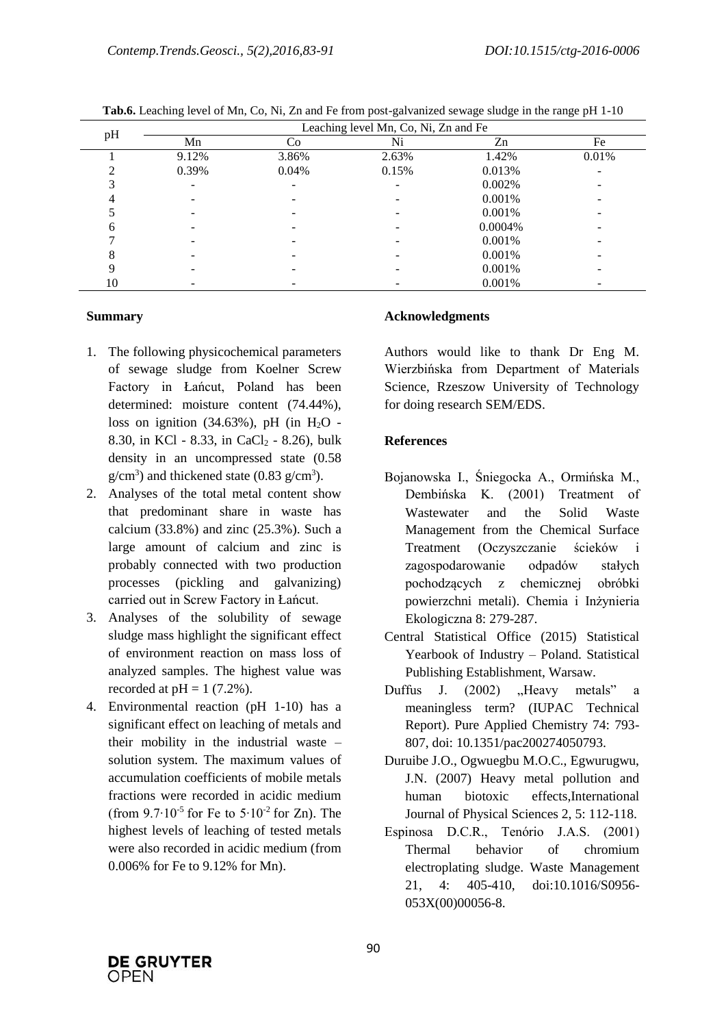|    | Leaching level Mn, Co, Ni, Zn and Fe |       |       |         |       |  |  |  |  |
|----|--------------------------------------|-------|-------|---------|-------|--|--|--|--|
| pH | Mn                                   | Co    | Ni    | Zn      | Fe    |  |  |  |  |
|    | 9.12%                                | 3.86% | 2.63% | 1.42%   | 0.01% |  |  |  |  |
|    | 0.39%                                | 0.04% | 0.15% | 0.013%  |       |  |  |  |  |
|    |                                      | -     |       | 0.002%  |       |  |  |  |  |
|    |                                      |       |       | 0.001%  |       |  |  |  |  |
|    |                                      |       |       | 0.001%  |       |  |  |  |  |
| h  |                                      |       |       | 0.0004% |       |  |  |  |  |
|    |                                      |       |       | 0.001%  |       |  |  |  |  |
|    |                                      |       |       | 0.001%  |       |  |  |  |  |
|    |                                      |       |       | 0.001%  |       |  |  |  |  |
| 10 |                                      |       |       | 0.001%  |       |  |  |  |  |

**Tab.6.** Leaching level of Mn, Co, Ni, Zn and Fe from post-galvanized sewage sludge in the range pH 1-10

### **Summary**

- 1. The following physicochemical parameters of sewage sludge from Koelner Screw Factory in Łańcut, Poland has been determined: moisture content (74.44%), loss on ignition  $(34.63\%)$ , pH (in H<sub>2</sub>O -8.30, in KCl - 8.33, in CaCl<sub>2</sub> - 8.26), bulk density in an uncompressed state (0.58  $g/cm<sup>3</sup>$ ) and thickened state (0.83  $g/cm<sup>3</sup>$ ).
- 2. Analyses of the total metal content show that predominant share in waste has calcium  $(33.8\%)$  and zinc  $(25.3\%)$ . Such a large amount of calcium and zinc is probably connected with two production processes (pickling and galvanizing) carried out in Screw Factory in Łańcut.
- 3. Analyses of the solubility of sewage sludge mass highlight the significant effect of environment reaction on mass loss of analyzed samples. The highest value was recorded at  $pH = 1$  (7.2%).
- 4. Environmental reaction (pH 1-10) has a significant effect on leaching of metals and their mobility in the industrial waste – solution system. The maximum values of accumulation coefficients of mobile metals fractions were recorded in acidic medium (from  $9.7 \cdot 10^{-5}$  for Fe to  $5 \cdot 10^{-2}$  for Zn). The highest levels of leaching of tested metals were also recorded in acidic medium (from 0.006% for Fe to 9.12% for Mn).

## **Acknowledgments**

Authors would like to thank Dr Eng M. Wierzbińska from Department of Materials Science, Rzeszow University of Technology for doing research SEM/EDS.

## **References**

- Bojanowska I., Śniegocka A., Ormińska M., Dembińska K. (2001) Treatment of Wastewater and the Solid Waste Management from the Chemical Surface Treatment (Oczyszczanie ścieków i zagospodarowanie odpadów stałych pochodzących z chemicznej obróbki powierzchni metali). Chemia i Inżynieria Ekologiczna 8: 279-287.
- Central Statistical Office (2015) Statistical Yearbook of Industry – Poland. Statistical Publishing Establishment, Warsaw.
- Duffus J. (2002) .Heavy metals" a meaningless term? (IUPAC Technical Report). Pure Applied Chemistry 74: 793- 807, doi: 10.1351/pac200274050793.
- Duruibe J.O., Ogwuegbu M.O.C., Egwurugwu, J.N. (2007) Heavy metal pollution and human biotoxic effects,International Journal of Physical Sciences 2, 5: 112-118.
- Espinosa D.C.R., Tenório J.A.S. (2001) Thermal behavior of chromium electroplating sludge. Waste Management 21, 4: 405-410, doi:10.1016/S0956- 053X(00)00056-8.